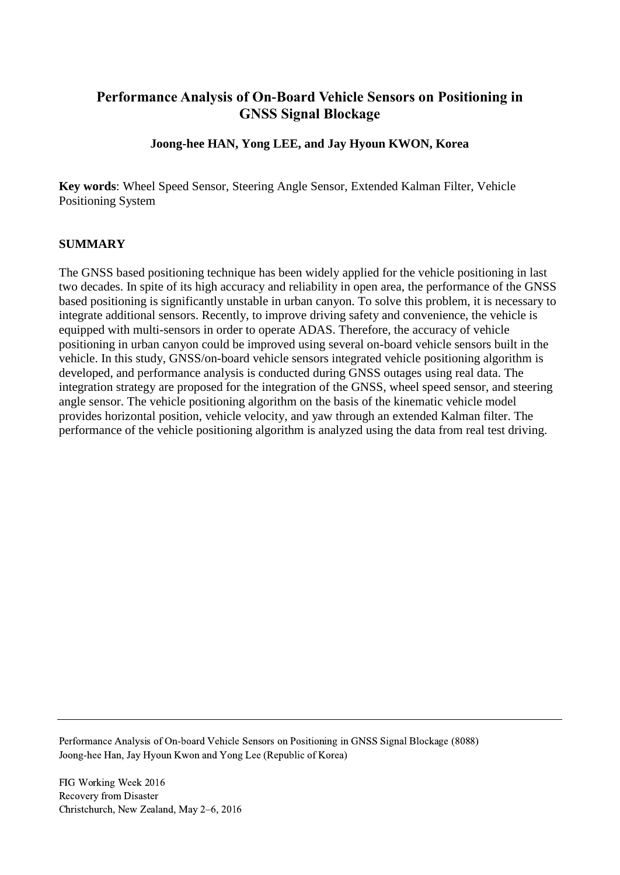# **Performance Analysis of On-Board Vehicle Sensors on Positioning in GNSS Signal Blockage**

# **Joong-hee HAN, Yong LEE, and Jay Hyoun KWON, Korea**

**Key words**: Wheel Speed Sensor, Steering Angle Sensor, Extended Kalman Filter, Vehicle Positioning System

## **SUMMARY**

The GNSS based positioning technique has been widely applied for the vehicle positioning in last two decades. In spite of its high accuracy and reliability in open area, the performance of the GNSS based positioning is significantly unstable in urban canyon. To solve this problem, it is necessary to integrate additional sensors. Recently, to improve driving safety and convenience, the vehicle is equipped with multi-sensors in order to operate ADAS. Therefore, the accuracy of vehicle positioning in urban canyon could be improved using several on-board vehicle sensors built in the vehicle. In this study, GNSS/on-board vehicle sensors integrated vehicle positioning algorithm is developed, and performance analysis is conducted during GNSS outages using real data. The integration strategy are proposed for the integration of the GNSS, wheel speed sensor, and steering angle sensor. The vehicle positioning algorithm on the basis of the kinematic vehicle model provides horizontal position, vehicle velocity, and yaw through an extended Kalman filter. The performance of the vehicle positioning algorithm is analyzed using the data from real test driving.

Performance Analysis of On-board Vehicle Sensors on Positioning in GNSS Signal Blockage (8088) Joong-hee Han, Jay Hyoun Kwon and Yong Lee (Republic of Korea)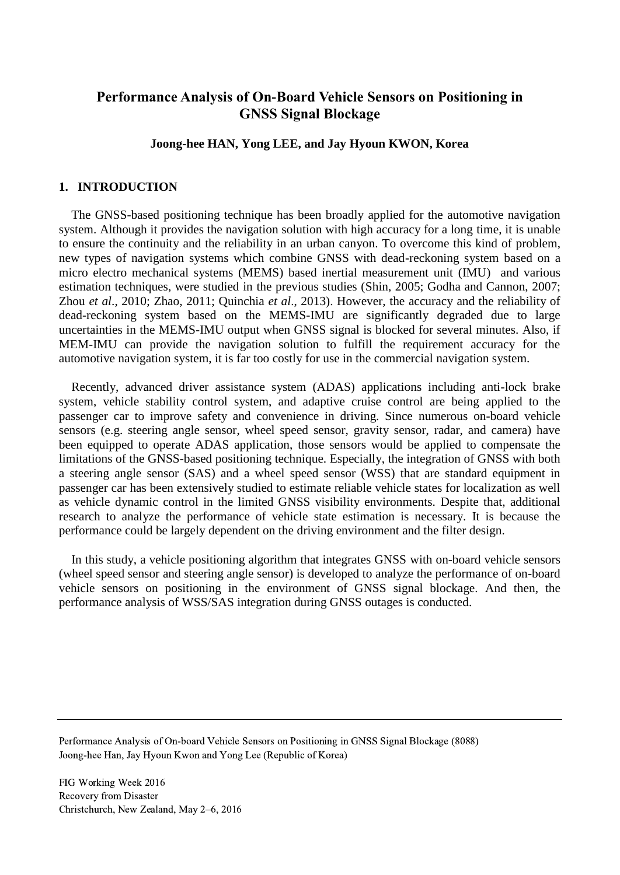# **Performance Analysis of On-Board Vehicle Sensors on Positioning in GNSS Signal Blockage**

## **Joong-hee HAN, Yong LEE, and Jay Hyoun KWON, Korea**

### **1. INTRODUCTION**

The GNSS-based positioning technique has been broadly applied for the automotive navigation system. Although it provides the navigation solution with high accuracy for a long time, it is unable to ensure the continuity and the reliability in an urban canyon. To overcome this kind of problem, new types of navigation systems which combine GNSS with dead-reckoning system based on a micro electro mechanical systems (MEMS) based inertial measurement unit (IMU) and various estimation techniques, were studied in the previous studies (Shin, 2005; Godha and Cannon, 2007; Zhou *et al*., 2010; Zhao, 2011; Quinchia *et al*., 2013). However, the accuracy and the reliability of dead-reckoning system based on the MEMS-IMU are significantly degraded due to large uncertainties in the MEMS-IMU output when GNSS signal is blocked for several minutes. Also, if MEM-IMU can provide the navigation solution to fulfill the requirement accuracy for the automotive navigation system, it is far too costly for use in the commercial navigation system.

Recently, advanced driver assistance system (ADAS) applications including anti-lock brake system, vehicle stability control system, and adaptive cruise control are being applied to the passenger car to improve safety and convenience in driving. Since numerous on-board vehicle sensors (e.g. steering angle sensor, wheel speed sensor, gravity sensor, radar, and camera) have been equipped to operate ADAS application, those sensors would be applied to compensate the limitations of the GNSS-based positioning technique. Especially, the integration of GNSS with both a steering angle sensor (SAS) and a wheel speed sensor (WSS) that are standard equipment in passenger car has been extensively studied to estimate reliable vehicle states for localization as well as vehicle dynamic control in the limited GNSS visibility environments. Despite that, additional research to analyze the performance of vehicle state estimation is necessary. It is because the performance could be largely dependent on the driving environment and the filter design.

In this study, a vehicle positioning algorithm that integrates GNSS with on-board vehicle sensors (wheel speed sensor and steering angle sensor) is developed to analyze the performance of on-board vehicle sensors on positioning in the environment of GNSS signal blockage. And then, the performance analysis of WSS/SAS integration during GNSS outages is conducted.

Performance Analysis of On-board Vehicle Sensors on Positioning in GNSS Signal Blockage (8088) Joong-hee Han, Jay Hyoun Kwon and Yong Lee (Republic of Korea)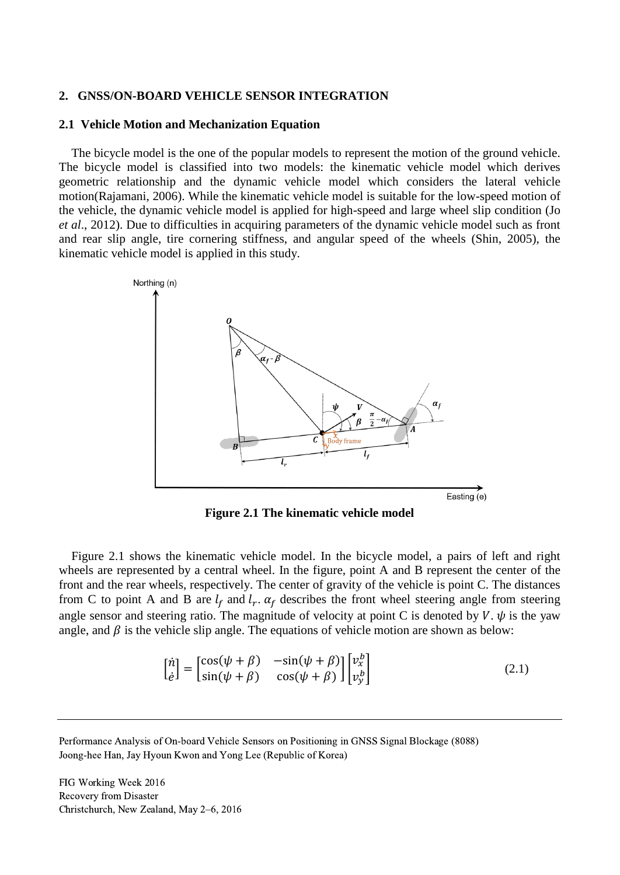#### **2. GNSS/ON-BOARD VEHICLE SENSOR INTEGRATION**

#### **2.1 Vehicle Motion and Mechanization Equation**

The bicycle model is the one of the popular models to represent the motion of the ground vehicle. The bicycle model is classified into two models: the kinematic vehicle model which derives geometric relationship and the dynamic vehicle model which considers the lateral vehicle motion(Rajamani, 2006). While the kinematic vehicle model is suitable for the low-speed motion of the vehicle, the dynamic vehicle model is applied for high-speed and large wheel slip condition (Jo *et al*., 2012). Due to difficulties in acquiring parameters of the dynamic vehicle model such as front and rear slip angle, tire cornering stiffness, and angular speed of the wheels (Shin, 2005), the kinematic vehicle model is applied in this study.



**Figure 2.1 The kinematic vehicle model**

Figure 2.1 shows the kinematic vehicle model. In the bicycle model, a pairs of left and right wheels are represented by a central wheel. In the figure, point A and B represent the center of the front and the rear wheels, respectively. The center of gravity of the vehicle is point C. The distances from C to point A and B are  $l_f$  and  $l_r$ .  $\alpha_f$  describes the front wheel steering angle from steering angle sensor and steering ratio. The magnitude of velocity at point C is denoted by V.  $\psi$  is the yaw angle, and  $\beta$  is the vehicle slip angle. The equations of vehicle motion are shown as below:

$$
\begin{bmatrix} \dot{n} \\ \dot{e} \end{bmatrix} = \begin{bmatrix} \cos(\psi + \beta) & -\sin(\psi + \beta) \\ \sin(\psi + \beta) & \cos(\psi + \beta) \end{bmatrix} \begin{bmatrix} v_x^b \\ v_y^b \end{bmatrix}
$$
 (2.1)

Performance Analysis of On-board Vehicle Sensors on Positioning in GNSS Signal Blockage (8088) Joong-hee Han, Jay Hyoun Kwon and Yong Lee (Republic of Korea)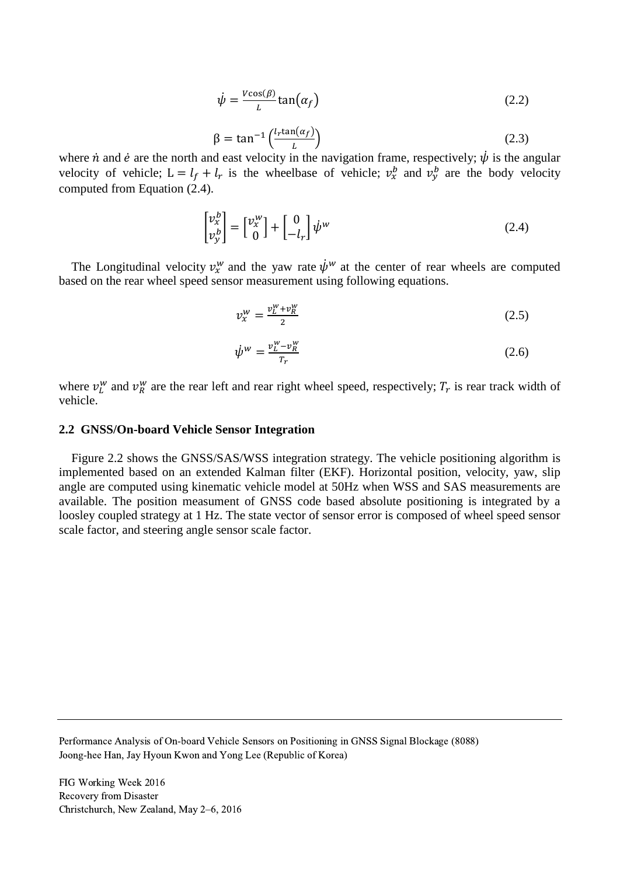$$
\dot{\psi} = \frac{v \cos(\beta)}{L} \tan(\alpha_f) \tag{2.2}
$$

$$
\beta = \tan^{-1}\left(\frac{l_r \tan(\alpha_f)}{L}\right) \tag{2.3}
$$

where  $\dot{n}$  and  $\dot{e}$  are the north and east velocity in the navigation frame, respectively;  $\dot{\psi}$  is the angular velocity of vehicle;  $L = l_f + l_r$  is the wheelbase of vehicle;  $v_x^b$  and  $v_y^b$  are the body velocity computed from Equation (2.4).

$$
\begin{bmatrix} v_x^b \\ v_y^b \end{bmatrix} = \begin{bmatrix} v_x^w \\ 0 \end{bmatrix} + \begin{bmatrix} 0 \\ -l_r \end{bmatrix} \dot{\psi}^w \tag{2.4}
$$

The Longitudinal velocity  $v_x^w$  and the yaw rate  $\dot{\psi}^w$  at the center of rear wheels are computed based on the rear wheel speed sensor measurement using following equations.

$$
v_x^w = \frac{v_L^w + v_R^w}{2} \tag{2.5}
$$

$$
\dot{\psi}^w = \frac{v_L^w - v_R^w}{T_r} \tag{2.6}
$$

where  $v_L^w$  and  $v_R^w$  are the rear left and rear right wheel speed, respectively;  $T_r$  is rear track width of vehicle.

#### **2.2 GNSS/On-board Vehicle Sensor Integration**

Figure 2.2 shows the GNSS/SAS/WSS integration strategy. The vehicle positioning algorithm is implemented based on an extended Kalman filter (EKF). Horizontal position, velocity, yaw, slip angle are computed using kinematic vehicle model at 50Hz when WSS and SAS measurements are available. The position measument of GNSS code based absolute positioning is integrated by a loosley coupled strategy at 1 Hz. The state vector of sensor error is composed of wheel speed sensor scale factor, and steering angle sensor scale factor.

Performance Analysis of On-board Vehicle Sensors on Positioning in GNSS Signal Blockage (8088) Joong-hee Han, Jay Hyoun Kwon and Yong Lee (Republic of Korea)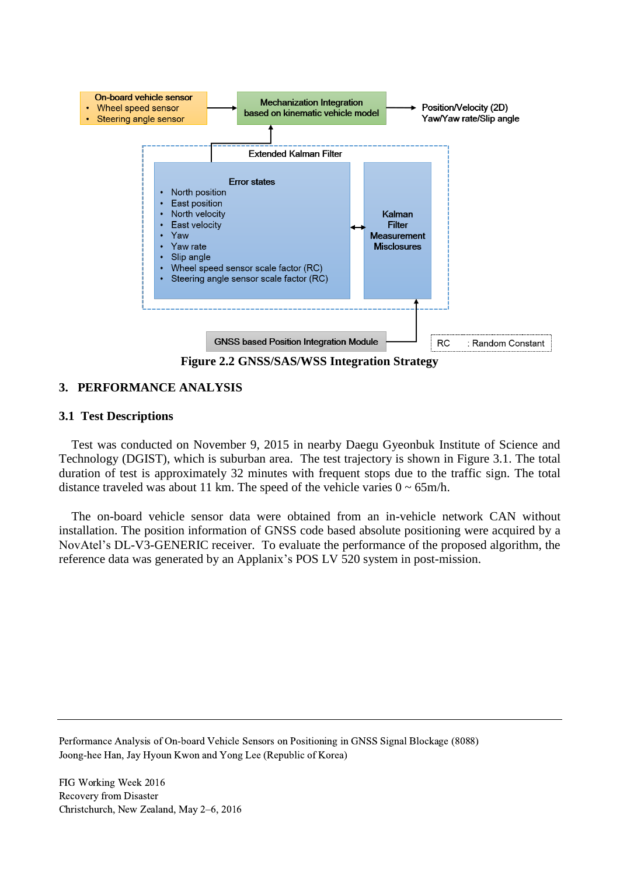

**Figure 2.2 GNSS/SAS/WSS Integration Strategy**

## **3. PERFORMANCE ANALYSIS**

## **3.1 Test Descriptions**

Test was conducted on November 9, 2015 in nearby Daegu Gyeonbuk Institute of Science and Technology (DGIST), which is suburban area. The test trajectory is shown in Figure 3.1. The total duration of test is approximately 32 minutes with frequent stops due to the traffic sign. The total distance traveled was about 11 km. The speed of the vehicle varies  $0 \sim 65$ m/h.

The on-board vehicle sensor data were obtained from an in-vehicle network CAN without installation. The position information of GNSS code based absolute positioning were acquired by a NovAtel's DL-V3-GENERIC receiver. To evaluate the performance of the proposed algorithm, the reference data was generated by an Applanix's POS LV 520 system in post-mission.

Performance Analysis of On-board Vehicle Sensors on Positioning in GNSS Signal Blockage (8088) Joong-hee Han, Jay Hyoun Kwon and Yong Lee (Republic of Korea)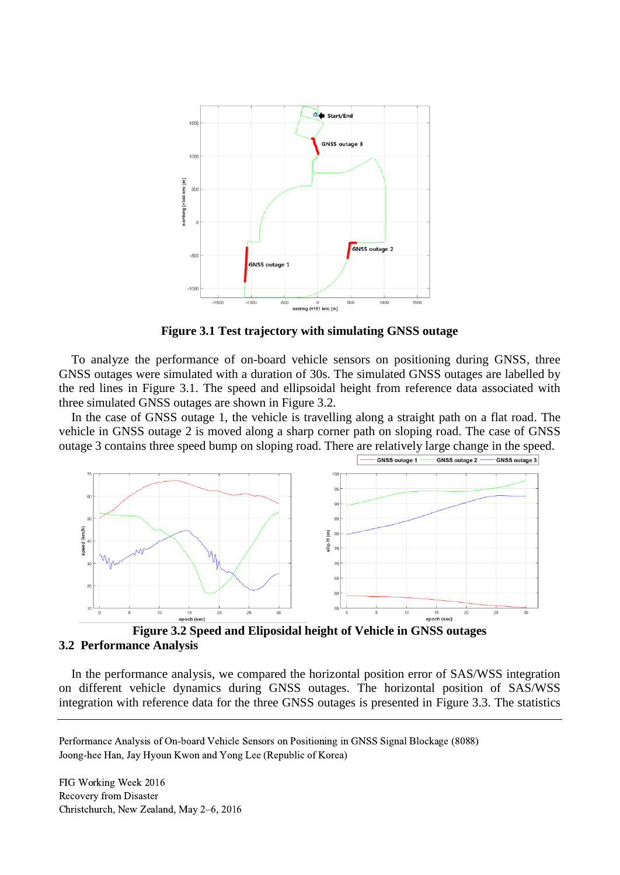

**Figure 3.1 Test trajectory with simulating GNSS outage**

To analyze the performance of on-board vehicle sensors on positioning during GNSS, three GNSS outages were simulated with a duration of 30s. The simulated GNSS outages are labelled by the red lines in Figure 3.1. The speed and ellipsoidal height from reference data associated with three simulated GNSS outages are shown in Figure 3.2.

In the case of GNSS outage 1, the vehicle is travelling along a straight path on a flat road. The vehicle in GNSS outage 2 is moved along a sharp corner path on sloping road. The case of GNSS outage 3 contains three speed bump on sloping road. There are relatively large change in the speed.



**Figure 3.2 Speed and Eliposidal height of Vehicle in GNSS outages 3.2 Performance Analysis**

In the performance analysis, we compared the horizontal position error of SAS/WSS integration on different vehicle dynamics during GNSS outages. The horizontal position of SAS/WSS integration with reference data for the three GNSS outages is presented in Figure 3.3. The statistics

Performance Analysis of On-board Vehicle Sensors on Positioning in GNSS Signal Blockage (8088) Joong-hee Han, Jay Hyoun Kwon and Yong Lee (Republic of Korea)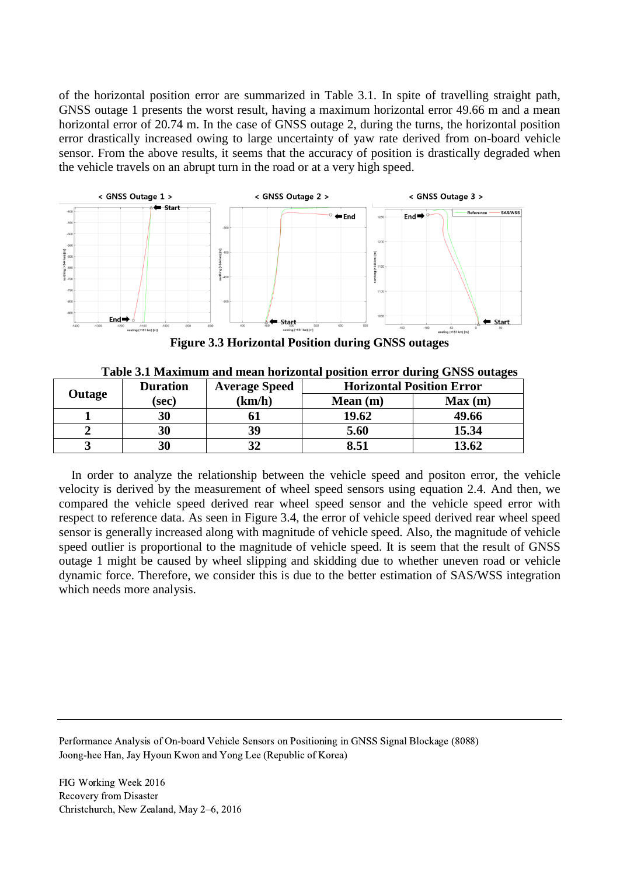of the horizontal position error are summarized in Table 3.1. In spite of travelling straight path, GNSS outage 1 presents the worst result, having a maximum horizontal error 49.66 m and a mean horizontal error of 20.74 m. In the case of GNSS outage 2, during the turns, the horizontal position error drastically increased owing to large uncertainty of yaw rate derived from on-board vehicle sensor. From the above results, it seems that the accuracy of position is drastically degraded when the vehicle travels on an abrupt turn in the road or at a very high speed.



**Figure 3.3 Horizontal Position during GNSS outages**

| Outage | <b>Duration</b> | <b>Average Speed</b> | <b>Horizontal Position Error</b> |        |
|--------|-----------------|----------------------|----------------------------------|--------|
|        | (sec)           | (km/h)               | Mean(m)                          | Max(m) |
|        | 30              |                      | 19.62                            | 49.66  |
|        | 30              | 39                   | 5.60                             | 15.34  |
|        | 30              |                      | 8.51                             | 13.62  |

**Table 3.1 Maximum and mean horizontal position error during GNSS outages**

In order to analyze the relationship between the vehicle speed and positon error, the vehicle velocity is derived by the measurement of wheel speed sensors using equation 2.4. And then, we compared the vehicle speed derived rear wheel speed sensor and the vehicle speed error with respect to reference data. As seen in Figure 3.4, the error of vehicle speed derived rear wheel speed sensor is generally increased along with magnitude of vehicle speed. Also, the magnitude of vehicle speed outlier is proportional to the magnitude of vehicle speed. It is seem that the result of GNSS outage 1 might be caused by wheel slipping and skidding due to whether uneven road or vehicle dynamic force. Therefore, we consider this is due to the better estimation of SAS/WSS integration which needs more analysis.

Performance Analysis of On-board Vehicle Sensors on Positioning in GNSS Signal Blockage (8088) Joong-hee Han, Jay Hyoun Kwon and Yong Lee (Republic of Korea)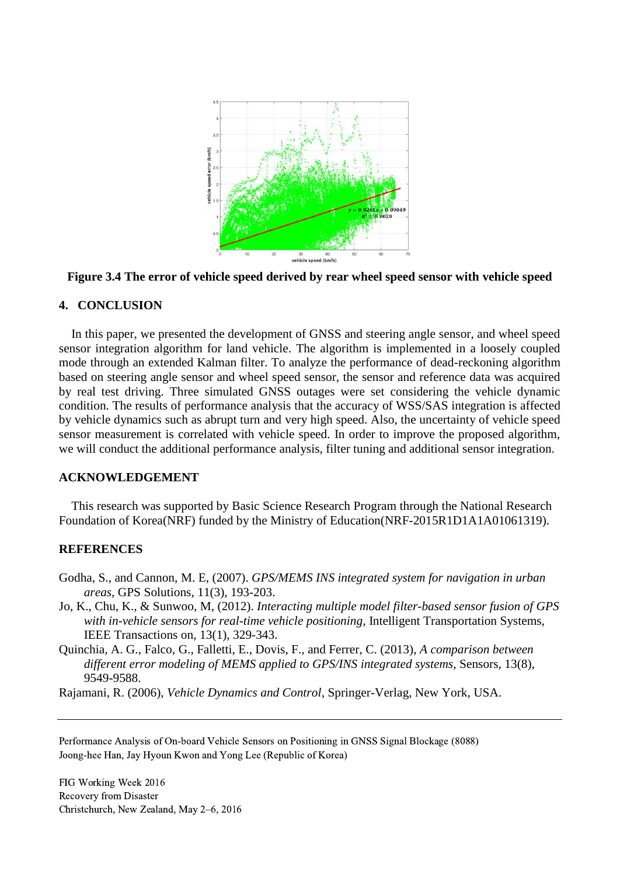



### **4. CONCLUSION**

In this paper, we presented the development of GNSS and steering angle sensor, and wheel speed sensor integration algorithm for land vehicle. The algorithm is implemented in a loosely coupled mode through an extended Kalman filter. To analyze the performance of dead-reckoning algorithm based on steering angle sensor and wheel speed sensor, the sensor and reference data was acquired by real test driving. Three simulated GNSS outages were set considering the vehicle dynamic condition. The results of performance analysis that the accuracy of WSS/SAS integration is affected by vehicle dynamics such as abrupt turn and very high speed. Also, the uncertainty of vehicle speed sensor measurement is correlated with vehicle speed. In order to improve the proposed algorithm, we will conduct the additional performance analysis, filter tuning and additional sensor integration.

### **ACKNOWLEDGEMENT**

This research was supported by Basic Science Research Program through the National Research Foundation of Korea(NRF) funded by the Ministry of Education(NRF-2015R1D1A1A01061319).

### **REFERENCES**

- Godha, S., and Cannon, M. E, (2007). *GPS/MEMS INS integrated system for navigation in urban areas*, GPS Solutions, 11(3), 193-203.
- Jo, K., Chu, K., & Sunwoo, M, (2012). *Interacting multiple model filter-based sensor fusion of GPS with in-vehicle sensors for real-time vehicle positioning*, Intelligent Transportation Systems, IEEE Transactions on, 13(1), 329-343.
- Quinchia, A. G., Falco, G., Falletti, E., Dovis, F., and Ferrer, C. (2013), *A comparison between different error modeling of MEMS applied to GPS/INS integrated systems*, Sensors, 13(8), 9549-9588.

Rajamani, R. (2006), *Vehicle Dynamics and Control*, Springer-Verlag, New York, USA.

Performance Analysis of On-board Vehicle Sensors on Positioning in GNSS Signal Blockage (8088) Joong-hee Han, Jay Hyoun Kwon and Yong Lee (Republic of Korea)